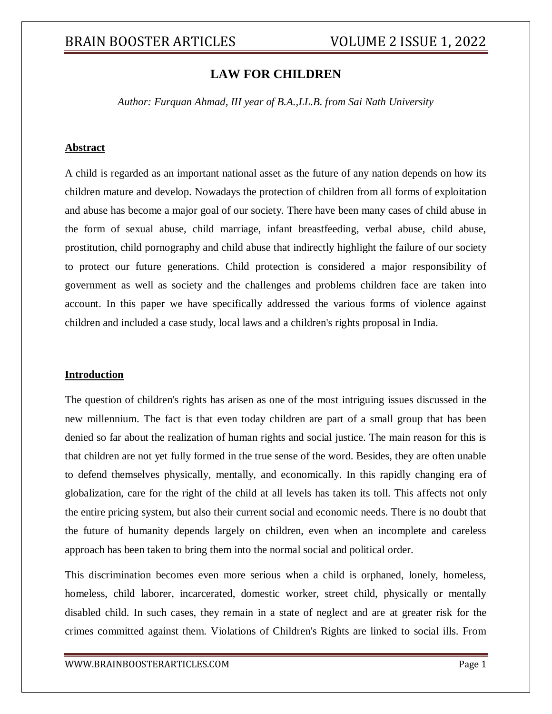# **LAW FOR CHILDREN**

*Author: Furquan Ahmad, III year of B.A.,LL.B. from Sai Nath University*

## **Abstract**

A child is regarded as an important national asset as the future of any nation depends on how its children mature and develop. Nowadays the protection of children from all forms of exploitation and abuse has become a major goal of our society. There have been many cases of child abuse in the form of sexual abuse, child marriage, infant breastfeeding, verbal abuse, child abuse, prostitution, child pornography and child abuse that indirectly highlight the failure of our society to protect our future generations. Child protection is considered a major responsibility of government as well as society and the challenges and problems children face are taken into account. In this paper we have specifically addressed the various forms of violence against children and included a case study, local laws and a children's rights proposal in India.

#### **Introduction**

The question of children's rights has arisen as one of the most intriguing issues discussed in the new millennium. The fact is that even today children are part of a small group that has been denied so far about the realization of human rights and social justice. The main reason for this is that children are not yet fully formed in the true sense of the word. Besides, they are often unable to defend themselves physically, mentally, and economically. In this rapidly changing era of globalization, care for the right of the child at all levels has taken its toll. This affects not only the entire pricing system, but also their current social and economic needs. There is no doubt that the future of humanity depends largely on children, even when an incomplete and careless approach has been taken to bring them into the normal social and political order.

This discrimination becomes even more serious when a child is orphaned, lonely, homeless, homeless, child laborer, incarcerated, domestic worker, street child, physically or mentally disabled child. In such cases, they remain in a state of neglect and are at greater risk for the crimes committed against them. Violations of Children's Rights are linked to social ills. From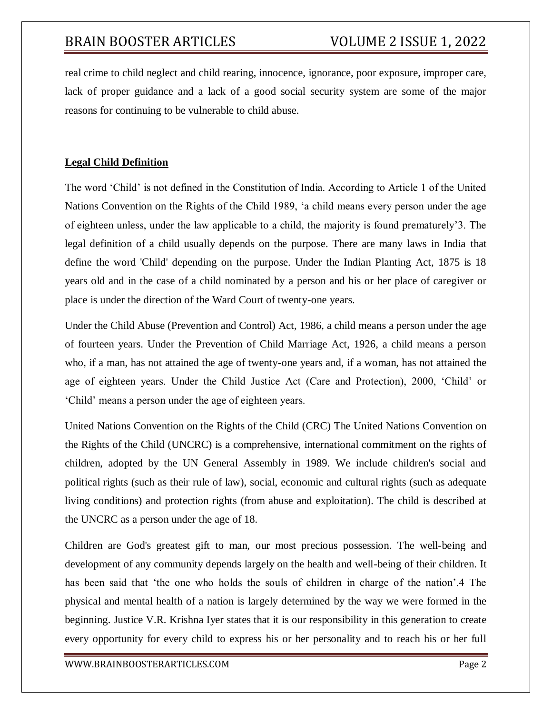real crime to child neglect and child rearing, innocence, ignorance, poor exposure, improper care, lack of proper guidance and a lack of a good social security system are some of the major reasons for continuing to be vulnerable to child abuse.

# **Legal Child Definition**

The word 'Child' is not defined in the Constitution of India. According to Article 1 of the United Nations Convention on the Rights of the Child 1989, 'a child means every person under the age of eighteen unless, under the law applicable to a child, the majority is found prematurely'3. The legal definition of a child usually depends on the purpose. There are many laws in India that define the word 'Child' depending on the purpose. Under the Indian Planting Act, 1875 is 18 years old and in the case of a child nominated by a person and his or her place of caregiver or place is under the direction of the Ward Court of twenty-one years.

Under the Child Abuse (Prevention and Control) Act, 1986, a child means a person under the age of fourteen years. Under the Prevention of Child Marriage Act, 1926, a child means a person who, if a man, has not attained the age of twenty-one years and, if a woman, has not attained the age of eighteen years. Under the Child Justice Act (Care and Protection), 2000, 'Child' or 'Child' means a person under the age of eighteen years.

United Nations Convention on the Rights of the Child (CRC) The United Nations Convention on the Rights of the Child (UNCRC) is a comprehensive, international commitment on the rights of children, adopted by the UN General Assembly in 1989. We include children's social and political rights (such as their rule of law), social, economic and cultural rights (such as adequate living conditions) and protection rights (from abuse and exploitation). The child is described at the UNCRC as a person under the age of 18.

Children are God's greatest gift to man, our most precious possession. The well-being and development of any community depends largely on the health and well-being of their children. It has been said that 'the one who holds the souls of children in charge of the nation'.4 The physical and mental health of a nation is largely determined by the way we were formed in the beginning. Justice V.R. Krishna Iyer states that it is our responsibility in this generation to create every opportunity for every child to express his or her personality and to reach his or her full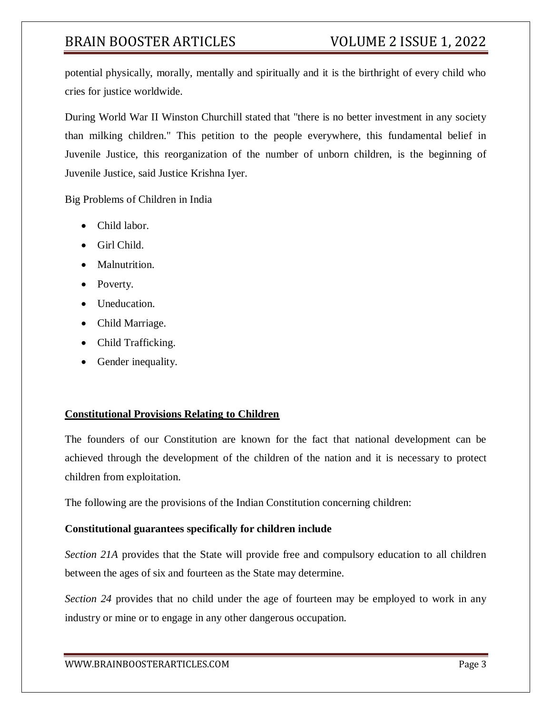potential physically, morally, mentally and spiritually and it is the birthright of every child who cries for justice worldwide.

During World War II Winston Churchill stated that "there is no better investment in any society than milking children." This petition to the people everywhere, this fundamental belief in Juvenile Justice, this reorganization of the number of unborn children, is the beginning of Juvenile Justice, said Justice Krishna Iyer.

Big Problems of Children in India

- Child labor.
- Girl Child.
- Malnutrition.
- Poverty.
- Uneducation.
- Child Marriage.
- Child Trafficking.
- Gender inequality.

# **Constitutional Provisions Relating to Children**

The founders of our Constitution are known for the fact that national development can be achieved through the development of the children of the nation and it is necessary to protect children from exploitation.

The following are the provisions of the Indian Constitution concerning children:

# **Constitutional guarantees specifically for children include**

*Section 21A* provides that the State will provide free and compulsory education to all children between the ages of six and fourteen as the State may determine.

*Section 24* provides that no child under the age of fourteen may be employed to work in any industry or mine or to engage in any other dangerous occupation.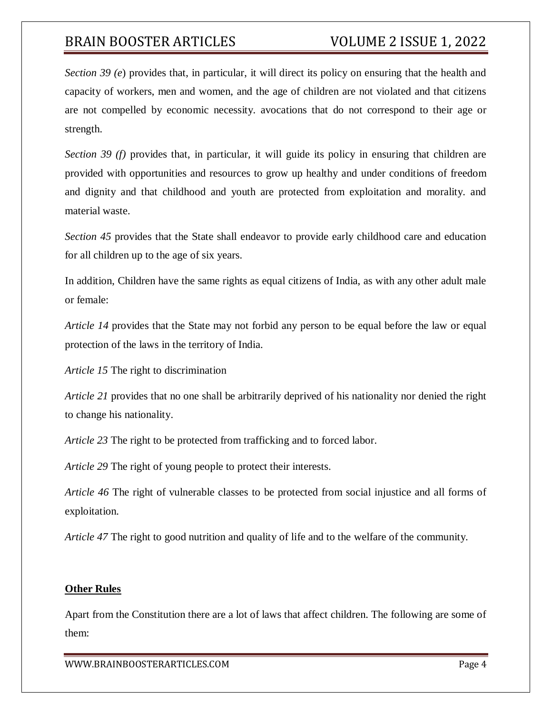*Section 39 (e*) provides that, in particular, it will direct its policy on ensuring that the health and capacity of workers, men and women, and the age of children are not violated and that citizens are not compelled by economic necessity. avocations that do not correspond to their age or strength.

*Section 39 (f)* provides that, in particular, it will guide its policy in ensuring that children are provided with opportunities and resources to grow up healthy and under conditions of freedom and dignity and that childhood and youth are protected from exploitation and morality. and material waste.

*Section 45* provides that the State shall endeavor to provide early childhood care and education for all children up to the age of six years.

In addition, Children have the same rights as equal citizens of India, as with any other adult male or female:

*Article 14* provides that the State may not forbid any person to be equal before the law or equal protection of the laws in the territory of India.

*Article 15* The right to discrimination

*Article 21* provides that no one shall be arbitrarily deprived of his nationality nor denied the right to change his nationality.

*Article 23* The right to be protected from trafficking and to forced labor.

*Article 29* The right of young people to protect their interests.

*Article 46* The right of vulnerable classes to be protected from social injustice and all forms of exploitation.

*Article 47* The right to good nutrition and quality of life and to the welfare of the community.

# **Other Rules**

Apart from the Constitution there are a lot of laws that affect children. The following are some of them: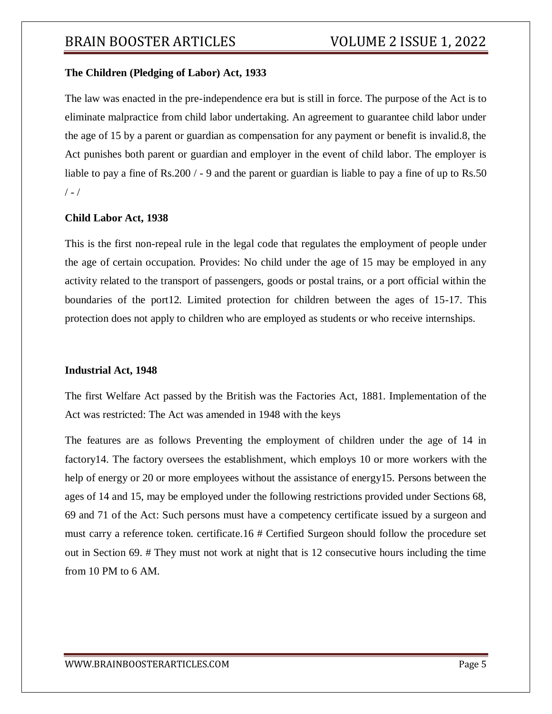# **The Children (Pledging of Labor) Act, 1933**

The law was enacted in the pre-independence era but is still in force. The purpose of the Act is to eliminate malpractice from child labor undertaking. An agreement to guarantee child labor under the age of 15 by a parent or guardian as compensation for any payment or benefit is invalid.8, the Act punishes both parent or guardian and employer in the event of child labor. The employer is liable to pay a fine of Rs.200 / - 9 and the parent or guardian is liable to pay a fine of up to Rs.50  $/ - /$ 

### **Child Labor Act, 1938**

This is the first non-repeal rule in the legal code that regulates the employment of people under the age of certain occupation. Provides: No child under the age of 15 may be employed in any activity related to the transport of passengers, goods or postal trains, or a port official within the boundaries of the port12. Limited protection for children between the ages of 15-17. This protection does not apply to children who are employed as students or who receive internships.

#### **Industrial Act, 1948**

The first Welfare Act passed by the British was the Factories Act, 1881. Implementation of the Act was restricted: The Act was amended in 1948 with the keys

The features are as follows Preventing the employment of children under the age of 14 in factory14. The factory oversees the establishment, which employs 10 or more workers with the help of energy or 20 or more employees without the assistance of energy15. Persons between the ages of 14 and 15, may be employed under the following restrictions provided under Sections 68, 69 and 71 of the Act: Such persons must have a competency certificate issued by a surgeon and must carry a reference token. certificate.16 # Certified Surgeon should follow the procedure set out in Section 69. # They must not work at night that is 12 consecutive hours including the time from 10 PM to 6 AM.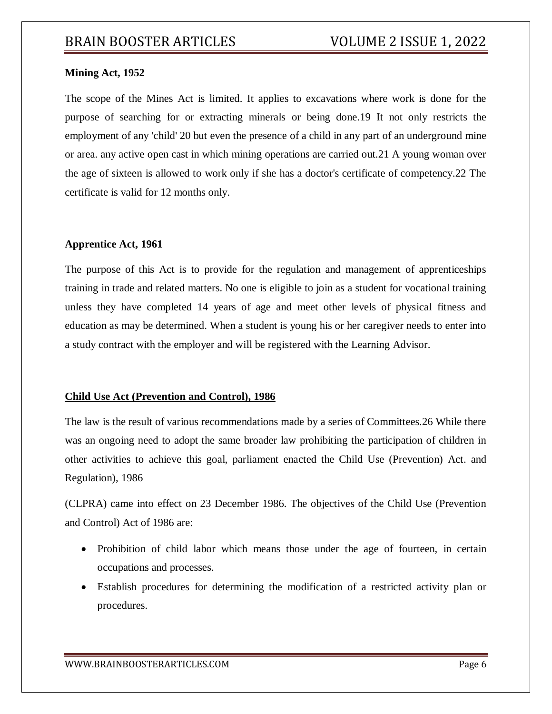# **Mining Act, 1952**

The scope of the Mines Act is limited. It applies to excavations where work is done for the purpose of searching for or extracting minerals or being done.19 It not only restricts the employment of any 'child' 20 but even the presence of a child in any part of an underground mine or area. any active open cast in which mining operations are carried out.21 A young woman over the age of sixteen is allowed to work only if she has a doctor's certificate of competency.22 The certificate is valid for 12 months only.

# **Apprentice Act, 1961**

The purpose of this Act is to provide for the regulation and management of apprenticeships training in trade and related matters. No one is eligible to join as a student for vocational training unless they have completed 14 years of age and meet other levels of physical fitness and education as may be determined. When a student is young his or her caregiver needs to enter into a study contract with the employer and will be registered with the Learning Advisor.

# **Child Use Act (Prevention and Control), 1986**

The law is the result of various recommendations made by a series of Committees.26 While there was an ongoing need to adopt the same broader law prohibiting the participation of children in other activities to achieve this goal, parliament enacted the Child Use (Prevention) Act. and Regulation), 1986

(CLPRA) came into effect on 23 December 1986. The objectives of the Child Use (Prevention and Control) Act of 1986 are:

- Prohibition of child labor which means those under the age of fourteen, in certain occupations and processes.
- Establish procedures for determining the modification of a restricted activity plan or procedures.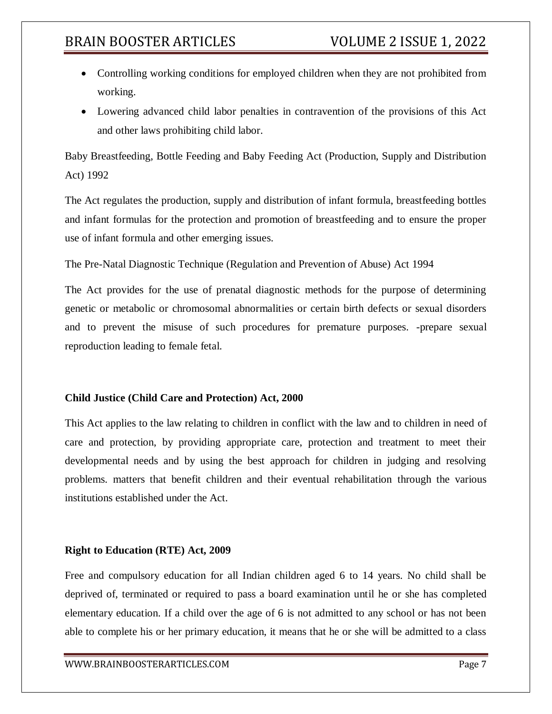- Controlling working conditions for employed children when they are not prohibited from working.
- Lowering advanced child labor penalties in contravention of the provisions of this Act and other laws prohibiting child labor.

Baby Breastfeeding, Bottle Feeding and Baby Feeding Act (Production, Supply and Distribution Act) 1992

The Act regulates the production, supply and distribution of infant formula, breastfeeding bottles and infant formulas for the protection and promotion of breastfeeding and to ensure the proper use of infant formula and other emerging issues.

The Pre-Natal Diagnostic Technique (Regulation and Prevention of Abuse) Act 1994

The Act provides for the use of prenatal diagnostic methods for the purpose of determining genetic or metabolic or chromosomal abnormalities or certain birth defects or sexual disorders and to prevent the misuse of such procedures for premature purposes. -prepare sexual reproduction leading to female fetal.

# **Child Justice (Child Care and Protection) Act, 2000**

This Act applies to the law relating to children in conflict with the law and to children in need of care and protection, by providing appropriate care, protection and treatment to meet their developmental needs and by using the best approach for children in judging and resolving problems. matters that benefit children and their eventual rehabilitation through the various institutions established under the Act.

# **Right to Education (RTE) Act, 2009**

Free and compulsory education for all Indian children aged 6 to 14 years. No child shall be deprived of, terminated or required to pass a board examination until he or she has completed elementary education. If a child over the age of 6 is not admitted to any school or has not been able to complete his or her primary education, it means that he or she will be admitted to a class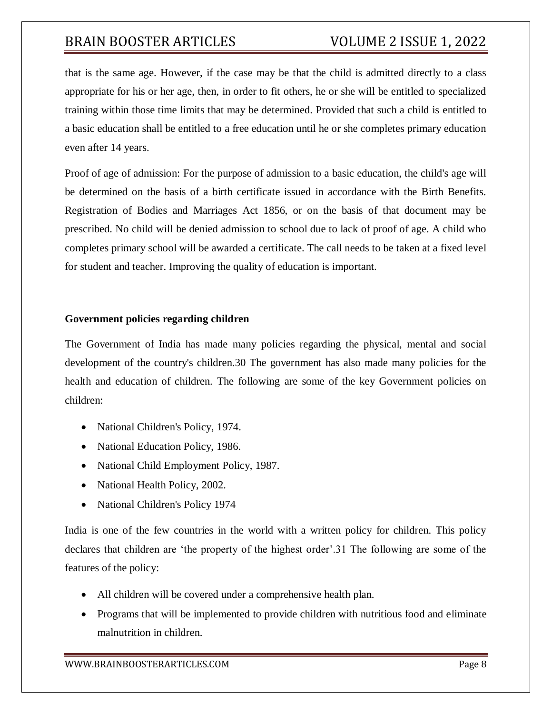that is the same age. However, if the case may be that the child is admitted directly to a class appropriate for his or her age, then, in order to fit others, he or she will be entitled to specialized training within those time limits that may be determined. Provided that such a child is entitled to a basic education shall be entitled to a free education until he or she completes primary education even after 14 years.

Proof of age of admission: For the purpose of admission to a basic education, the child's age will be determined on the basis of a birth certificate issued in accordance with the Birth Benefits. Registration of Bodies and Marriages Act 1856, or on the basis of that document may be prescribed. No child will be denied admission to school due to lack of proof of age. A child who completes primary school will be awarded a certificate. The call needs to be taken at a fixed level for student and teacher. Improving the quality of education is important.

# **Government policies regarding children**

The Government of India has made many policies regarding the physical, mental and social development of the country's children.30 The government has also made many policies for the health and education of children. The following are some of the key Government policies on children:

- National Children's Policy, 1974.
- National Education Policy, 1986.
- National Child Employment Policy, 1987.
- National Health Policy, 2002.
- National Children's Policy 1974

India is one of the few countries in the world with a written policy for children. This policy declares that children are 'the property of the highest order'.31 The following are some of the features of the policy:

- All children will be covered under a comprehensive health plan.
- Programs that will be implemented to provide children with nutritious food and eliminate malnutrition in children.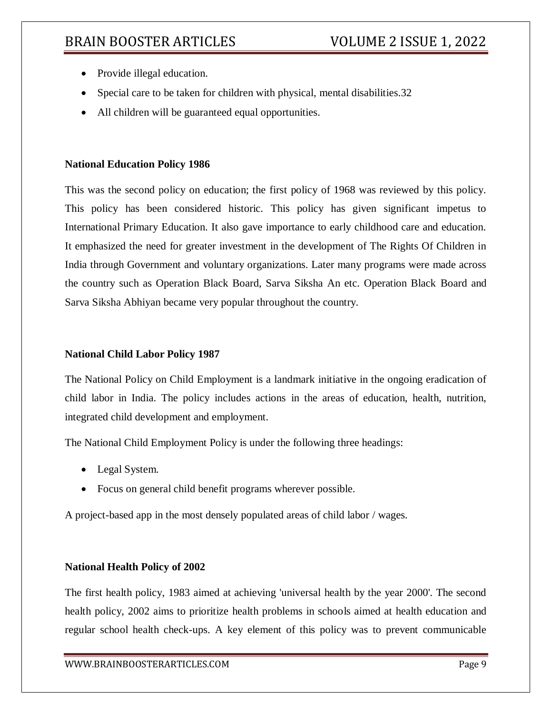- Provide illegal education.
- Special care to be taken for children with physical, mental disabilities. 32
- All children will be guaranteed equal opportunities.

# **National Education Policy 1986**

This was the second policy on education; the first policy of 1968 was reviewed by this policy. This policy has been considered historic. This policy has given significant impetus to International Primary Education. It also gave importance to early childhood care and education. It emphasized the need for greater investment in the development of The Rights Of Children in India through Government and voluntary organizations. Later many programs were made across the country such as Operation Black Board, Sarva Siksha An etc. Operation Black Board and Sarva Siksha Abhiyan became very popular throughout the country.

# **National Child Labor Policy 1987**

The National Policy on Child Employment is a landmark initiative in the ongoing eradication of child labor in India. The policy includes actions in the areas of education, health, nutrition, integrated child development and employment.

The National Child Employment Policy is under the following three headings:

- Legal System.
- Focus on general child benefit programs wherever possible.

A project-based app in the most densely populated areas of child labor / wages.

# **National Health Policy of 2002**

The first health policy, 1983 aimed at achieving 'universal health by the year 2000'. The second health policy, 2002 aims to prioritize health problems in schools aimed at health education and regular school health check-ups. A key element of this policy was to prevent communicable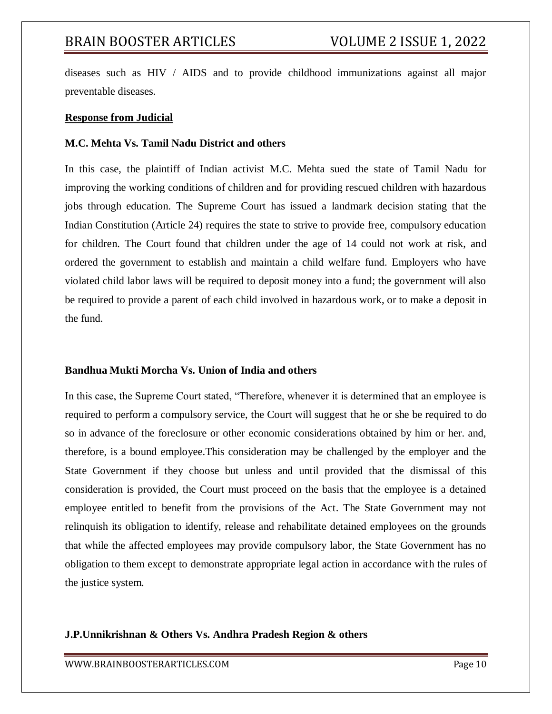diseases such as HIV / AIDS and to provide childhood immunizations against all major preventable diseases.

### **Response from Judicial**

## **M.C. Mehta Vs. Tamil Nadu District and others**

In this case, the plaintiff of Indian activist M.C. Mehta sued the state of Tamil Nadu for improving the working conditions of children and for providing rescued children with hazardous jobs through education. The Supreme Court has issued a landmark decision stating that the Indian Constitution (Article 24) requires the state to strive to provide free, compulsory education for children. The Court found that children under the age of 14 could not work at risk, and ordered the government to establish and maintain a child welfare fund. Employers who have violated child labor laws will be required to deposit money into a fund; the government will also be required to provide a parent of each child involved in hazardous work, or to make a deposit in the fund.

# **Bandhua Mukti Morcha Vs. Union of India and others**

In this case, the Supreme Court stated, "Therefore, whenever it is determined that an employee is required to perform a compulsory service, the Court will suggest that he or she be required to do so in advance of the foreclosure or other economic considerations obtained by him or her. and, therefore, is a bound employee.This consideration may be challenged by the employer and the State Government if they choose but unless and until provided that the dismissal of this consideration is provided, the Court must proceed on the basis that the employee is a detained employee entitled to benefit from the provisions of the Act. The State Government may not relinquish its obligation to identify, release and rehabilitate detained employees on the grounds that while the affected employees may provide compulsory labor, the State Government has no obligation to them except to demonstrate appropriate legal action in accordance with the rules of the justice system.

# **J.P.Unnikrishnan & Others Vs. Andhra Pradesh Region & others**

WWW.BRAINBOOSTERARTICLES.COM Page 10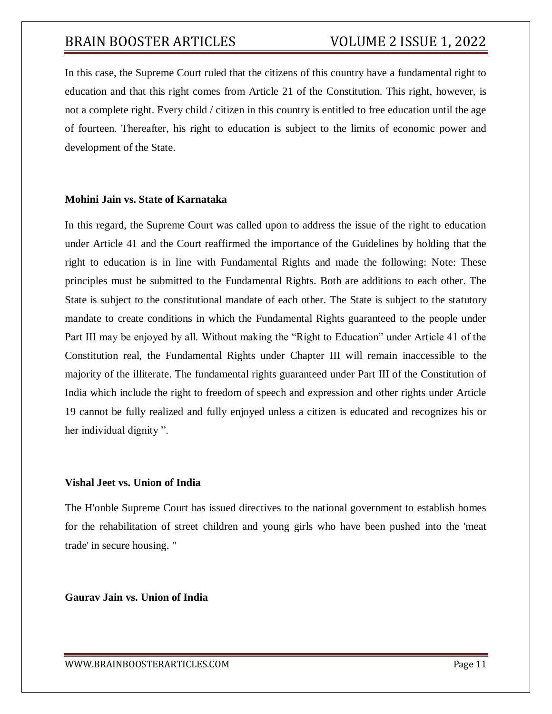In this case, the Supreme Court ruled that the citizens of this country have a fundamental right to education and that this right comes from Article 21 of the Constitution. This right, however, is not a complete right. Every child / citizen in this country is entitled to free education until the age of fourteen. Thereafter, his right to education is subject to the limits of economic power and development of the State.

## **Mohini Jain vs. State of Karnataka**

In this regard, the Supreme Court was called upon to address the issue of the right to education under Article 41 and the Court reaffirmed the importance of the Guidelines by holding that the right to education is in line with Fundamental Rights and made the following: Note: These principles must be submitted to the Fundamental Rights. Both are additions to each other. The State is subject to the constitutional mandate of each other. The State is subject to the statutory mandate to create conditions in which the Fundamental Rights guaranteed to the people under Part III may be enjoyed by all. Without making the "Right to Education" under Article 41 of the Constitution real, the Fundamental Rights under Chapter III will remain inaccessible to the majority of the illiterate. The fundamental rights guaranteed under Part III of the Constitution of India which include the right to freedom of speech and expression and other rights under Article 19 cannot be fully realized and fully enjoyed unless a citizen is educated and recognizes his or her individual dignity ".

# **Vishal Jeet vs. Union of India**

The H'onble Supreme Court has issued directives to the national government to establish homes for the rehabilitation of street children and young girls who have been pushed into the 'meat trade' in secure housing. "

# **Gaurav Jain vs. Union of India**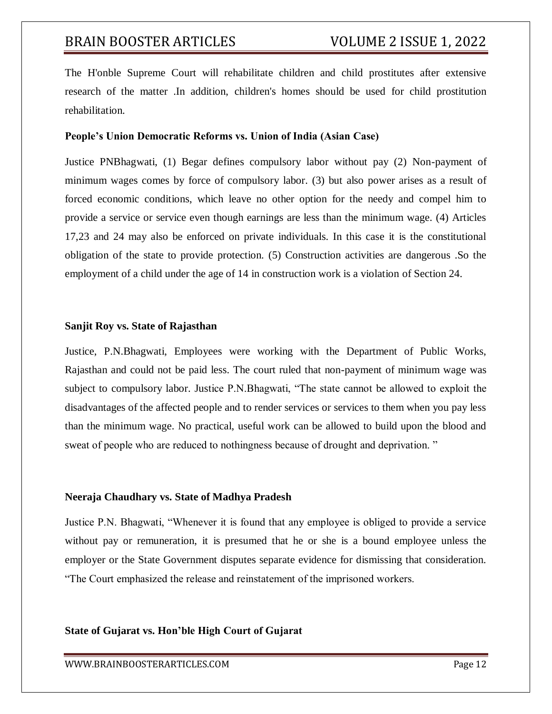The H'onble Supreme Court will rehabilitate children and child prostitutes after extensive research of the matter .In addition, children's homes should be used for child prostitution rehabilitation.

#### **People's Union Democratic Reforms vs. Union of India (Asian Case)**

Justice PNBhagwati, (1) Begar defines compulsory labor without pay (2) Non-payment of minimum wages comes by force of compulsory labor. (3) but also power arises as a result of forced economic conditions, which leave no other option for the needy and compel him to provide a service or service even though earnings are less than the minimum wage. (4) Articles 17,23 and 24 may also be enforced on private individuals. In this case it is the constitutional obligation of the state to provide protection. (5) Construction activities are dangerous .So the employment of a child under the age of 14 in construction work is a violation of Section 24.

#### **Sanjit Roy vs. State of Rajasthan**

Justice, P.N.Bhagwati, Employees were working with the Department of Public Works, Rajasthan and could not be paid less. The court ruled that non-payment of minimum wage was subject to compulsory labor. Justice P.N.Bhagwati, "The state cannot be allowed to exploit the disadvantages of the affected people and to render services or services to them when you pay less than the minimum wage. No practical, useful work can be allowed to build upon the blood and sweat of people who are reduced to nothingness because of drought and deprivation. "

# **Neeraja Chaudhary vs. State of Madhya Pradesh**

Justice P.N. Bhagwati, "Whenever it is found that any employee is obliged to provide a service without pay or remuneration, it is presumed that he or she is a bound employee unless the employer or the State Government disputes separate evidence for dismissing that consideration. "The Court emphasized the release and reinstatement of the imprisoned workers.

# **State of Gujarat vs. Hon'ble High Court of Gujarat**

WWW.BRAINBOOSTERARTICLES.COM Page 12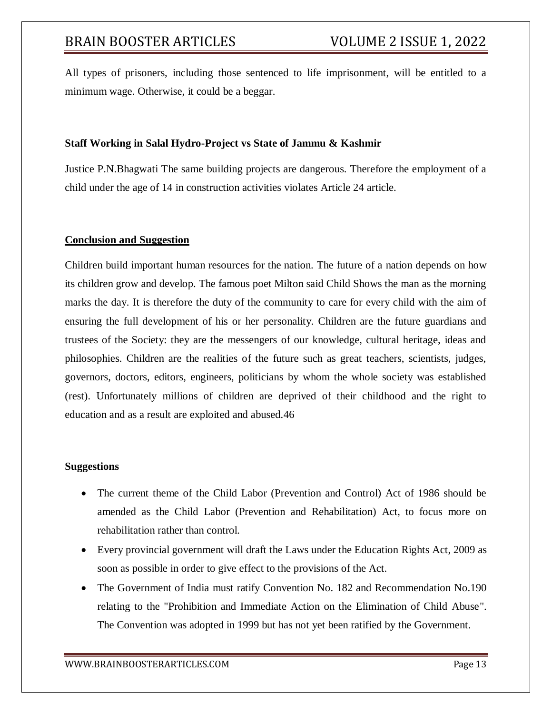All types of prisoners, including those sentenced to life imprisonment, will be entitled to a minimum wage. Otherwise, it could be a beggar.

# **Staff Working in Salal Hydro-Project vs State of Jammu & Kashmir**

Justice P.N.Bhagwati The same building projects are dangerous. Therefore the employment of a child under the age of 14 in construction activities violates Article 24 article.

### **Conclusion and Suggestion**

Children build important human resources for the nation. The future of a nation depends on how its children grow and develop. The famous poet Milton said Child Shows the man as the morning marks the day. It is therefore the duty of the community to care for every child with the aim of ensuring the full development of his or her personality. Children are the future guardians and trustees of the Society: they are the messengers of our knowledge, cultural heritage, ideas and philosophies. Children are the realities of the future such as great teachers, scientists, judges, governors, doctors, editors, engineers, politicians by whom the whole society was established (rest). Unfortunately millions of children are deprived of their childhood and the right to education and as a result are exploited and abused.46

#### **Suggestions**

- The current theme of the Child Labor (Prevention and Control) Act of 1986 should be amended as the Child Labor (Prevention and Rehabilitation) Act, to focus more on rehabilitation rather than control.
- Every provincial government will draft the Laws under the Education Rights Act, 2009 as soon as possible in order to give effect to the provisions of the Act.
- The Government of India must ratify Convention No. 182 and Recommendation No.190 relating to the "Prohibition and Immediate Action on the Elimination of Child Abuse". The Convention was adopted in 1999 but has not yet been ratified by the Government.